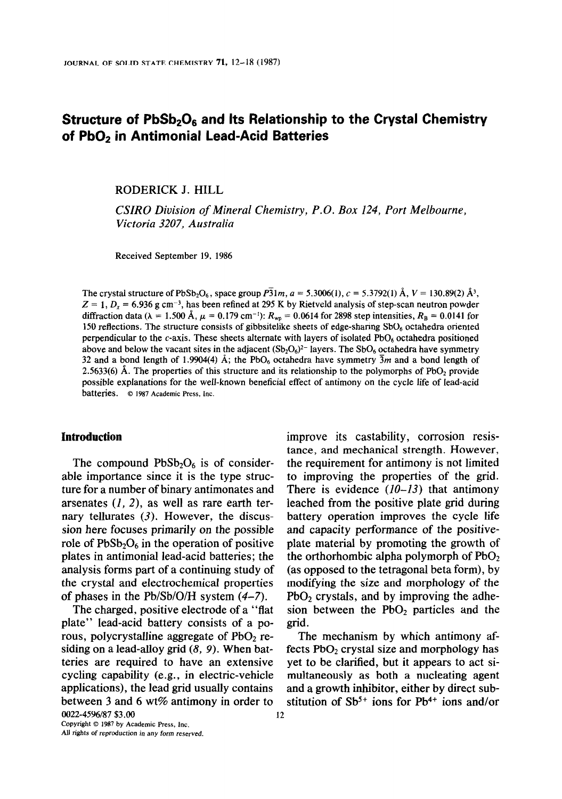# Structure of  $PbSb<sub>2</sub>O<sub>6</sub>$  and Its Relationship to the Crystal Chemistry of PbO<sub>2</sub> in Antimonial Lead-Acid Batteries

RODERICK J. HILL

CSIRO Division of Mineral Chemistry, P.O. Box 124, Port Melbourne, Victoria 3207, Australia

Received September 19, 1986

The crystal structure of PbSb<sub>2</sub>O<sub>6</sub>, space group  $\overline{P_3}1m$ ,  $a = 5,3006(1)$ ,  $c = 5,3792(1)$  Å,  $V = 130.89(2)$  Å<sup>3</sup>,  $Z = 1$ ,  $D<sub>x</sub> = 6.936$  g cm<sup>-3</sup>, has been refined at 295 K by Rietveld analysis of step-scan neutron powder diffraction data ( $\lambda = 1.500 \text{ Å}$ ,  $\mu = 0.179 \text{ cm}^{-1}$ ):  $R_{wp} = 0.0614 \text{ for } 2898 \text{ step intensities}, R_B = 0.0141 \text{ for }$ 150 reflections. The structure consists of gibbsitelike sheets of edge-sharing SbO, octahedra oriented perpendicular to the  $c$ -axis. These sheets alternate with layers of isolated PbO<sub>6</sub> octahedra positioned above and below the vacant sites in the adjacent  $(Sb<sub>2</sub>O<sub>6</sub>)<sup>2-</sup>$  layers. The SbO<sub>6</sub> octahedra have symmetry 32 and a bond length of 1.9904(4)  $\AA$ ; the PbO<sub>6</sub> octahedra have symmetry  $\overline{3}m$  and a bond length of 2.5633(6)  $\dot{A}$ . The properties of this structure and its relationship to the polymorphs of PbO<sub>2</sub> provide possible explanations for the weII-known beneficial effect of antimony on the cycle life of lead-acid batteries. © 1987 Academic Press, Inc.

### Introduction

The compound  $PbSb<sub>2</sub>O<sub>6</sub>$  is of considerable importance since it is the type structure for a number of binary antimonates and arsenates  $(1, 2)$ , as well as rare earth ternary tellurates  $(3)$ . However, the discussion here focuses primarily on the possible role of  $PbSb<sub>2</sub>O<sub>6</sub>$  in the operation of positive plates in antimonial lead-acid batteries; the analysis forms part of a continuing study of the crystal and electrochemical properties of phases in the Pb/Sb/O/H system (4-7).

The charged, positive electrode of a "flat plate" lead-acid battery consists of a porous, polycrystalline aggregate of  $PbO<sub>2</sub>$  residing on a lead-alloy grid  $(8, 9)$ . When batteries are required to have an extensive cycling capability (e.g., in electric-vehicle applications), the lead grid usually contains between 3 and 6 wt% antimony in order to 0022-45%/87 \$3.00 12

Copyright © 1987 by Academic Press, Inc. All rights of reproduction in any form reserved. improve its castability, corrosion resistance, and mechanical strength. However, the requirement for antimony is not limited to improving the properties of the grid. There is evidence  $(10-13)$  that antimony leached from the positive plate grid during battery operation improves the cycle life and capacity performance of the positiveplate material by promoting the growth of the orthorhombic alpha polymorph of  $PbO<sub>2</sub>$ (as opposed to the tetragonal beta form), by modifying the size and morphology of the  $PbO<sub>2</sub>$  crystals, and by improving the adhesion between the  $PbO<sub>2</sub>$  particles and the grid.

The mechanism by which antimony affects  $PbO<sub>2</sub>$  crystal size and morphology has yet to be clarified, but it appears to act simultaneously as both a nucleating agent and a growth inhibitor, either by direct substitution of  $Sb^{5+}$  ions for Pb<sup>4+</sup> ions and/or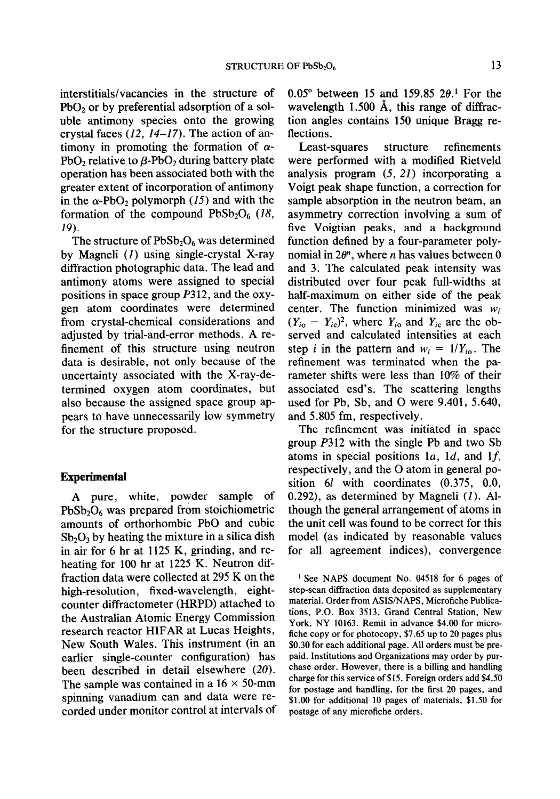interstitials/vacancies in the structure of  $PbO<sub>2</sub>$  or by preferential adsorption of a soluble antimony species onto the growing crystal faces  $(12, 14-17)$ . The action of antimony in promoting the formation of  $\alpha$ -PbO<sub>2</sub> relative to  $\beta$ -PbO<sub>2</sub> during battery plate operation has been associated both with the greater extent of incorporation of antimony in the  $\alpha$ -PbO<sub>2</sub> polymorph (15) and with the formation of the compound  $PbSb<sub>2</sub>O<sub>6</sub>$  (18, 29).

The structure of  $PbSb<sub>2</sub>O<sub>6</sub>$  was determined by Magneli (I) using single-crystal X-ray diffraction photographic data. The lead and antimony atoms were assigned to special positions in space group P312, and the oxygen atom coordinates were determined from crystal-chemical considerations and adjusted by trial-and-error methods. A refinement of this structure using neutron data is desirable, not only because of the uncertainty associated with the X-ray-determined oxygen atom coordinates, but also because the assigned space group appears to have unnecessarily low symmetry for the structure proposed.

#### Experimental

A pure, white, powder sample of  $PbSb<sub>2</sub>O<sub>6</sub>$  was prepared from stoichiometric amounts of orthorhombic PbO and cubic  $Sb<sub>2</sub>O<sub>3</sub>$  by heating the mixture in a silica dish in air for 6 hr at 1125 K, grinding, and reheating for 100 hr at 1225 K. Neutron diffraction data were collected at 295 K on the high-resolution, fixed-wavelength, eightcounter diffractometer (HRPD) attached to the Australian Atomic Energy Commission research reactor HIFAR at Lucas Heights, New South Wales. This instrument (in an earlier single-counter configuration) has been described in detail elsewhere (20). The sample was contained in a  $16 \times 50$ -mm spinning vanadium can and data were recorded under monitor control at intervals of 0.05 $^{\circ}$  between 15 and 159.85 2 $\theta$ .<sup>1</sup> For the wavelength 1.500 A, this range of diffraction angles contains 150 unique Bragg reflections.

Least-squares structure refinements were performed with a modified Rietveld analysis program  $(5, 21)$  incorporating a Voigt peak shape function, a correction for sample absorption in the neutron beam, an asymmetry correction involving a sum of five Voigtian peaks, and a background function defined by a four-parameter polynomial in  $2\theta^n$ , where *n* has values between 0 and 3. The calculated peak intensity was distributed over four peak full-widths at half-maximum on either side of the peak center. The function minimized was  $w_i$  $(Y_{i\text{o}} - Y_{i\text{c}})^2$ , where  $Y_{i\text{o}}$  and  $Y_{i\text{c}}$  are the observed and calculated intensities at each step *i* in the pattern and  $w_i = 1/Y_{i_0}$ . The refinement was terminated when the parameter shifts were less than 10% of their associated esd's. The scattering lengths used for Pb, Sb, and 0 were 9.401, 5.640, and 5.805 fm, respectively.

The refinement was initiated in space group P312 with the single Pb and two Sb atoms in special positions 1a, 1d, and 1f, respectively, and the 0 atom in general position 6l with coordinates  $(0.375, 0.0, 0.1)$ 0.292), as determined by Magneli  $(I)$ . Although the general arrangement of atoms in the unit cell was found to be correct for this model (as indicated by reasonable values for all agreement indices), convergence

' See NAPS document No. 04518 for 6 pages of step-scan diffraction data deposited as supplementary material. Order from ASIS/NAPS, Microfiche Publications, P.O. Box 3513, Grand Central Station, New York, NY 10163. Remit in advance \$4.00 for microfiche copy or for photocopy, \$7.65 up to 20 pages plus \$0.30 for each additional page. All orders must be prepaid. Institutions and Organizations may order by purchase order. However, there is a billing and handling charge for this service of \$15. Foreign orders add \$4.50 for postage and handling, for the first 20 pages, and \$1.00 for additional 10 pages of materials, \$1.50 for postage of any microfiche orders.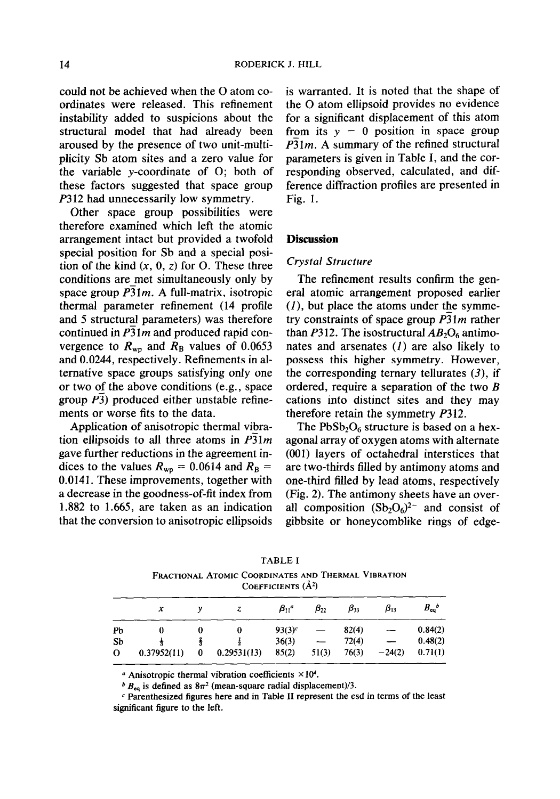could not be achieved when the 0 atom coordinates were released. This refinement instability added to suspicions about the structural model that had already been aroused by the presence of two unit-multiplicity Sb atom sites and a zero value for the variable y-coordinate of 0; both of these factors suggested that space group P312 had unnecessarily low symmetry.

Other space group possibilities were therefore examined which left the atomic arrangement intact but provided a twofold special position for Sb and a special position of the kind  $(x, 0, z)$  for O. These three conditions are-met simultaneously only by space group  $\overline{P_3}1m$ . A full-matrix, isotropic thermal parameter refinement (14 profile and 5 structural parameters) was therefore continued in  $\overline{P_3}$ 1*m* and produced rapid convergence to  $R_{wp}$  and  $R_B$  values of 0.0653 and 0.0244, respectively. Refinements in alternative space groups satisfying only one or two of the above conditions (e.g., space group  $P_3$ ) produced either unstable refinements or worse fits to the data.

Application of anisotropic thermal vibration ellipsoids to all three atoms in  $P\overline{31m}$ gave further reductions in the agreement indices to the values  $R_{wp} = 0.0614$  and  $R_B =$ 0.0141. These improvements, together with a decrease in the goodness-of-fit index from 1.882 to 1.665, are taken as an indication that the conversion to anisotropic ellipsoids

is warranted. It is noted that the shape of the 0 atom ellipsoid provides no evidence for a significant displacement of this atom from its  $y = 0$  position in space group P31m. A summary of the refined structural parameters is given in Table 1, and the corresponding observed, calculated, and difference diffraction profiles are presented in Fig. 1.

# **Discussion**

#### **Crystal Structure**

The refinement results confirm the general atomic arrangement proposed earlier  $(1)$ , but place the atoms under the symmetry constraints of space group  $\overline{P_3}1m$  rather than P312. The isostructural  $AB_2O_6$  antimonates and arsenates (I) are also likely to possess this higher symmetry. However, the corresponding ternary tellurates  $(3)$ , if ordered, require a separation of the two  $B$ cations into distinct sites and they may therefore retain the symmetry P312.

The  $PbSb<sub>2</sub>O<sub>6</sub>$  structure is based on a hexagonal array of oxygen atoms with alternate (001) layers of octahedral interstices that are two-thirds filled by antimony atoms and one-third filled by lead atoms, respectively (Fig. 2). The antimony sheets have an overall composition  $(Sb<sub>2</sub>O<sub>6</sub>)<sup>2-</sup>$  and consist of gibbsite or honeycomblike rings of edge-

|    | COEFFICIENTS $(\AA^2)$ |  |             |                |              |              |              |                       |  |
|----|------------------------|--|-------------|----------------|--------------|--------------|--------------|-----------------------|--|
|    | x                      |  |             | $\beta_{11}^a$ | $\beta_{22}$ | $\beta_{33}$ | $\beta_{13}$ | $B_{eq}$ <sup>b</sup> |  |
| Pb |                        |  | 0           | $93(3)^c$      |              | 82(4)        |              | 0.84(2)               |  |
| Sb |                        |  |             | 36(3)          |              | 72(4)        |              | 0.48(2)               |  |
| O  | 0.37952(11)            |  | 0.29531(13) | 85(2)          | 51(3)        | 76(3)        | $-24(2)$     | 0.71(1)               |  |

TABLE I FRACTIONAL ATOMIC COORDINATES AND THERMAL VIBRATION

<sup>a</sup> Anisotropic thermal vibration coefficients  $\times 10^4$ .

 $b$  B<sub>eq</sub> is defined as  $8\pi^2$  (mean-square radial displacement)/3.

 $c$  Parenthesized figures here and in Table II represent the esd in terms of the least significant figure to the left.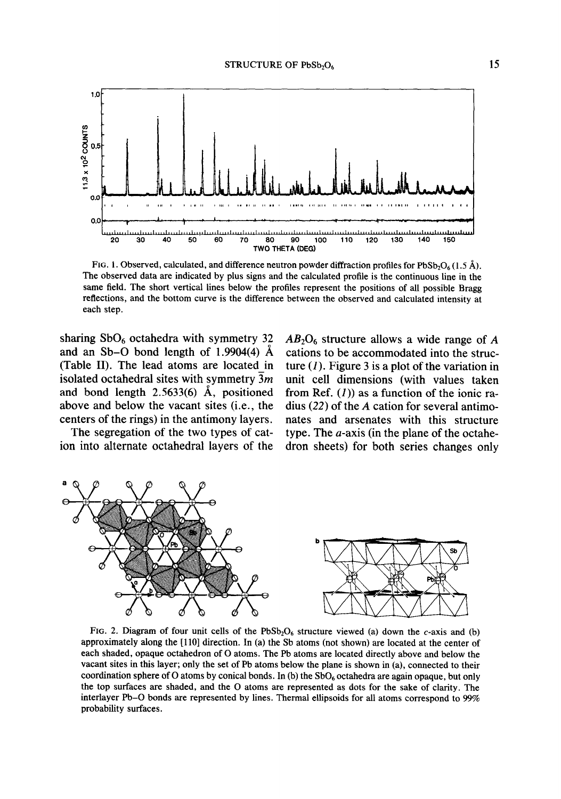

FIG. 1. Observed, calculated, and difference neutron powder diffraction profiles for PbSb<sub>2</sub>O<sub>6</sub> (1.5 Å). The observed data are indicated by plus signs and the calculated profile is the continuous line in the same field. The short vertical lines below the profiles represent the positions of all possible Bragg reflections, and the bottom curve is the difference between the observed and calculated intensity at each step.

sharing  $SbO_6$  octahedra with symmetry 32 and an Sb-O bond length of 1.9904(4)  $\AA$ (Table II). The lead atoms are located in isolated octahedral sites with symmetry 3m and bond length 2.5633(6) A, positioned above and below the vacant sites (i.e., the centers of the rings) in the antimony layers.

The segregation of the two types of cation into alternate octahedral layers of the  $AB_2O_6$  structure allows a wide range of A cations to be accommodated into the structure  $(I)$ . Figure 3 is a plot of the variation in unit cell dimensions (with values taken from Ref.  $(1)$  as a function of the ionic radius (22) of the A cation for several antimonates and arsenates with this structure type. The  $a$ -axis (in the plane of the octahedron sheets) for both series changes only



FIG. 2. Diagram of four unit cells of the  $PbSb_2O_6$  structure viewed (a) down the c-axis and (b) approximately along the [110] direction. In (a) the Sb atoms (not shown) are located at the center of each shaded, opaque octahedron of 0 atoms. The Pb atoms are located directly above and below the vacant sites in this layer; only the set of Pb atoms below the plane is shown in (a), connected to their coordination sphere of O atoms by conical bonds. In (b) the  $SbO_6$  octahedra are again opaque, but only the top surfaces are shaded, and the 0 atoms are represented as dots for the sake of clarity. The interlayer Pb-0 bonds are represented by lines. Thermal ellipsoids for all atoms correspond to 99% probability surfaces.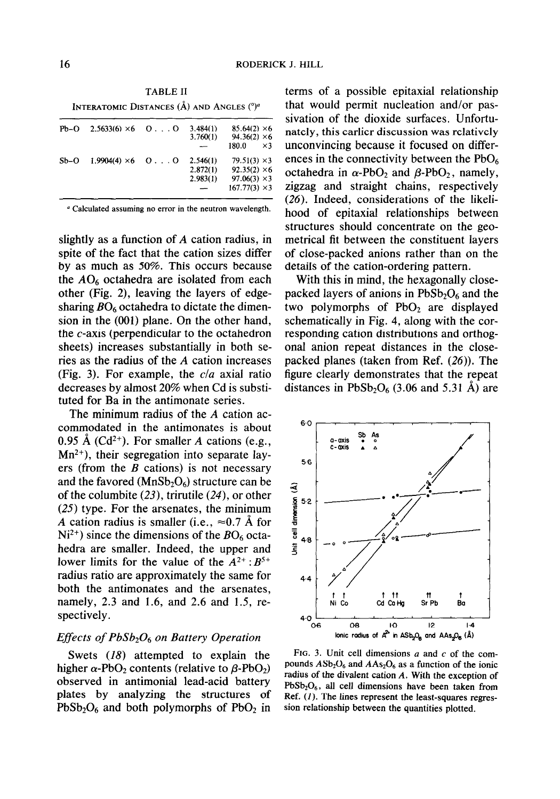TABLE II INTERATOMIC DISTANCES  $(\AA)$  and Angles  $(^\circ)^a$ 

| Pb-O   | $2.5633(6) \times 6$ 0. 0 | 3.484(1) | $85.64(2) \times 6$  |
|--------|---------------------------|----------|----------------------|
|        |                           | 3.760(1) | $94.36(2) \times 6$  |
|        |                           |          | $\times$ 3<br>180.0  |
| $Sb-O$ | $1.9904(4) \times 6$ OO   | 2.546(1) | $79.51(3) \times 3$  |
|        |                           | 2.872(1) | $92.35(2) \times 6$  |
|        |                           | 2.983(1) | $97.06(3) \times 3$  |
|        |                           |          | $167.77(3) \times 3$ |

<sup>a</sup> Calculated assuming no error in the neutron wavelength.

slightly as a function of A cation radius, in spite of the fact that the cation sizes differ by as much as 50%. This occurs because the  $AO<sub>6</sub>$  octahedra are isolated from each other (Fig. 2), leaving the layers of edgesharing  $BO<sub>6</sub>$  octahedra to dictate the dimension in the (001) plane. On the other hand, the c-axis (perpendicular to the octahedron sheets) increases substantially in both series as the radius of the A cation increases (Fig. 3). For example, the  $c/a$  axial ratio decreases by almost 20% when Cd is substituted for Ba in the antimonate series.

The minimum radius of the A cation accommodated in the antimonates is about 0.95 Å  $(Cd^{2+})$ . For smaller A cations (e.g.,  $Mn^{2+}$ ), their segregation into separate layers (from the  $B$  cations) is not necessary and the favored ( $MnSb<sub>2</sub>O<sub>6</sub>$ ) structure can be of the columbite (23), trirutile (24), or other (25) type. For the arsenates, the minimum A cation radius is smaller (i.e.,  $\approx 0.7$  Å for  $Ni<sup>2+</sup>$ ) since the dimensions of the  $BO<sub>6</sub>$  octahedra are smaller. Indeed, the upper and lower limits for the value of the  $A^{2+}$ :  $B^{5+}$ radius ratio are approximately the same for both the antimonates and the arsenates, namely, 2.3 and 1.6, and 2.6 and 1.5, respectively.

# Effects of  $PbSb<sub>2</sub>O<sub>6</sub>$  on Battery Operation

Swets (18) attempted to explain the higher  $\alpha$ -PbO<sub>2</sub> contents (relative to  $\beta$ -PbO<sub>2</sub>) observed in antimonial lead-acid battery plates by analyzing the structures of  $PbSb<sub>2</sub>O<sub>6</sub>$  and both polymorphs of  $PbO<sub>2</sub>$  in

terms of a possible epitaxial relationship that would permit nucleation and/or passivation of the dioxide surfaces. Unfortunately, this earlier discussion was relatively unconvincing because it focused on differences in the connectivity between the  $PbO_6$ octahedra in  $\alpha$ -PbO<sub>2</sub> and  $\beta$ -PbO<sub>2</sub>, namely, zigzag and straight chains, respectively (26). Indeed, considerations of the likelihood of epitaxial relationships between structures should concentrate on the geometrical fit between the constituent layers of close-packed anions rather than on the details of the cation-ordering pattern.

With this in mind, the hexagonally closepacked layers of anions in  $PbSb<sub>2</sub>O<sub>6</sub>$  and the two polymorphs of  $PbO<sub>2</sub>$  are displayed schematically in Fig. 4, along with the corresponding cation distributions and orthogonal anion repeat distances in the closepacked planes (taken from Ref. (26)). The figure clearly demonstrates that the repeat distances in  $PbSb<sub>2</sub>O<sub>6</sub>$  (3.06 and 5.31 Å) are



FIG. 3. Unit cell dimensions  $a$  and  $c$  of the compounds  $ASb<sub>2</sub>O<sub>6</sub>$  and  $AAs<sub>2</sub>O<sub>6</sub>$  as a function of the ionic radius of the divalent cation A. With the exception of  $PbSb<sub>2</sub>O<sub>6</sub>$ , all cell dimensions have been taken from Ref. (I). The lines represent the least-squares regression relationship between the quantities plotted.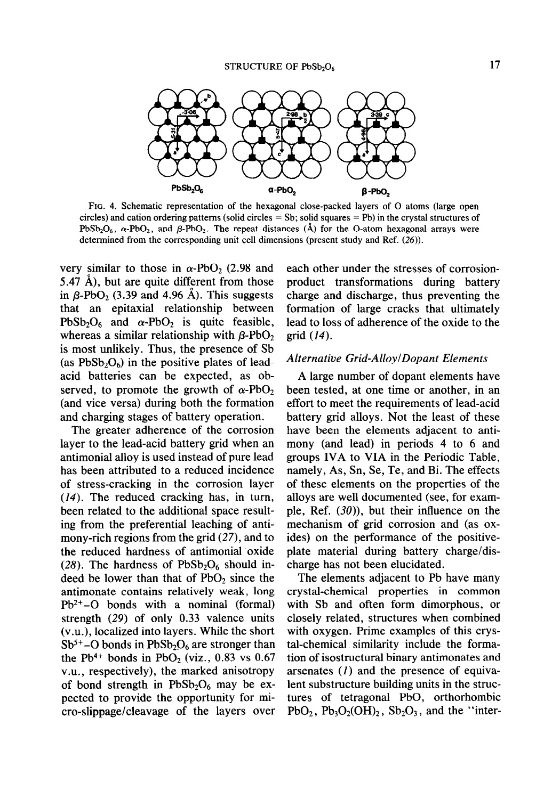

FIG. 4. Schematic representation of the hexagonal close-packed layers of 0 atoms (large open circles) and cation ordering patterns (solid circles = Sb; solid squares = Pb) in the crystal structures of PbSb<sub>2</sub>O<sub>6</sub>,  $\alpha$ -PbO<sub>2</sub>, and  $\beta$ -PbO<sub>2</sub>. The repeat distances (A) for the O-atom hexagonal arrays were determined from the corresponding unit cell dimensions (present study and Ref. (26)).

very similar to those in  $\alpha$ -PbO<sub>2</sub> (2.98 and 5.47  $\check{A}$ ), but are quite different from those in  $\beta$ -PbO<sub>2</sub> (3.39 and 4.96 A). This suggests that an epitaxial relationship between PbSb<sub>2</sub>O<sub>6</sub> and  $\alpha$ -PbO<sub>2</sub> is quite feasible, whereas a similar relationship with  $\beta$ -PbO<sub>2</sub> is most unlikely. Thus, the presence of Sb (as  $PbSb<sub>2</sub>O<sub>6</sub>$ ) in the positive plates of leadacid batteries can be expected, as observed, to promote the growth of  $\alpha$ -PbO<sub>2</sub> (and vice versa) during both the formation and charging stages of battery operation.

The greater adherence of the corrosion layer to the lead-acid battery grid when an antimonial alloy is used instead of pure lead has been attributed to a reduced incidence of stress-cracking in the corrosion layer (14). The reduced cracking has, in turn, been related to the additional space resulting from the preferential leaching of antimony-rich regions from the grid (27), and to the reduced hardness of antimonial oxide (28). The hardness of  $PbSb<sub>2</sub>O<sub>6</sub>$  should indeed be lower than that of  $PbO<sub>2</sub>$  since the antimonate contains relatively weak, long  $Pb^{2+}-O$  bonds with a nominal (formal) strength (29) of only 0.33 valence units (v.u.), localized into layers. While the short  $Sb<sup>5+</sup>-O$  bonds in  $PbSb<sub>2</sub>O<sub>6</sub>$  are stronger than the Pb<sup>4+</sup> bonds in PbO<sub>2</sub> (viz., 0.83 vs 0.67) v.u., respectively), the marked anisotropy of bond strength in  $PbSb<sub>2</sub>O<sub>6</sub>$  may be expected to provide the opportunity for micro-slippage/cleavage of the layers over each other under the stresses of corrosionproduct transformations during battery charge and discharge, thus preventing the formation of large cracks that ultimately lead to loss of adherence of the oxide to the grid (14).

# Alternative Grid-AlloylDopant Elements

A large number of dopant elements have been tested, at one time or another, in an effort to meet the requirements of lead-acid battery grid alloys. Not the least of these have been the elements adjacent to antimony (and lead) in periods 4 to 6 and groups IVA to VIA in the Periodic Table, namely, As, Sn, Se, Te, and Bi. The effects of these elements on the properties of the alloys are well documented (see, for example, Ref. (30)), but their influence on the mechanism of grid corrosion and (as oxides) on the performance of the positiveplate material during battery charge/discharge has not been elucidated.

The elements adjacent to Pb have many crystal-chemical properties in common with Sb and often form dimorphous, or closely related, structures when combined with oxygen. Prime examples of this crystal-chemical similarity include the formation of isostructural binary antimonates and arsenates (I) and the presence of equivalent substructure building units in the structures of tetragonal PbO, orthorhombic  $PbO_2$ ,  $Pb_3O_2(OH)_2$ ,  $Sb_2O_3$ , and the "inter